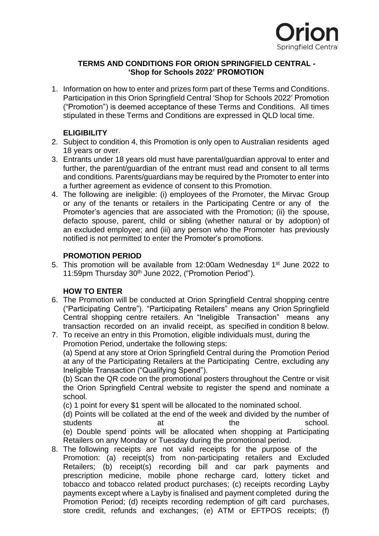

## **TERMS AND CONDITIONS FOR ORION SPRINGFIELD CENTRAL - 'Shop for Schools 2022' PROMOTION**

1. Information on how to enter and prizes form part of these Terms and Conditions. Participation in this Orion Springfield Central 'Shop for Schools 2022' Promotion ("Promotion") is deemed acceptance of these Terms and Conditions. All times stipulated in these Terms and Conditions are expressed in QLD local time.

# **ELIGIBILITY**

- 2. Subject to condition 4, this Promotion is only open to Australian residents aged 18 years or over.
- 3. Entrants under 18 years old must have parental/guardian approval to enter and further, the parent/guardian of the entrant must read and consent to all terms and conditions. Parents/guardians may be required by the Promoter to enter into a further agreement as evidence of consent to this Promotion.
- 4. The following are ineligible: (i) employees of the Promoter, the Mirvac Group or any of the tenants or retailers in the Participating Centre or any of the Promoter's agencies that are associated with the Promotion; (ii) the spouse, defacto spouse, parent, child or sibling (whether natural or by adoption) of an excluded employee; and (iii) any person who the Promoter has previously notified is not permitted to enter the Promoter's promotions.

# **PROMOTION PERIOD**

5. This promotion will be available from 12:00am Wednesday 1<sup>st</sup> June 2022 to 11:59pm Thursday 30<sup>th</sup> June 2022, ("Promotion Period").

# **HOW TO ENTER**

- 6. The Promotion will be conducted at Orion Springfield Central shopping centre ("Participating Centre"). "Participating Retailers" means any Orion Springfield Central shopping centre retailers. An "Ineligible Transaction" means any transaction recorded on an invalid receipt, as specified in condition 8 below.
- 7. To receive an entry in this Promotion, eligible individuals must, during the Promotion Period, undertake the following steps: (a) Spend at any store at Orion Springfield Central during the Promotion Period

at any of the Participating Retailers at the Participating Centre, excluding any Ineligible Transaction ("Qualifying Spend").

(b) Scan the QR code on the promotional posters throughout the Centre or visit the Orion Springfield Central website to register the spend and nominate a school.

(c) 1 point for every \$1 spent will be allocated to the nominated school.

(d) Points will be collated at the end of the week and divided by the number of students at a school. (e) Double spend points will be allocated when shopping at Participating Retailers on any Monday or Tuesday during the promotional period.

8. The following receipts are not valid receipts for the purpose of the Promotion: (a) receipt(s) from non-participating retailers and Excluded Retailers; (b) receipt(s) recording bill and car park payments and prescription medicine, mobile phone recharge card, lottery ticket and tobacco and tobacco related product purchases; (c) receipts recording Layby payments except where a Layby is finalised and payment completed during the Promotion Period; (d) receipts recording redemption of gift card purchases, store credit, refunds and exchanges; (e) ATM or EFTPOS receipts; (f)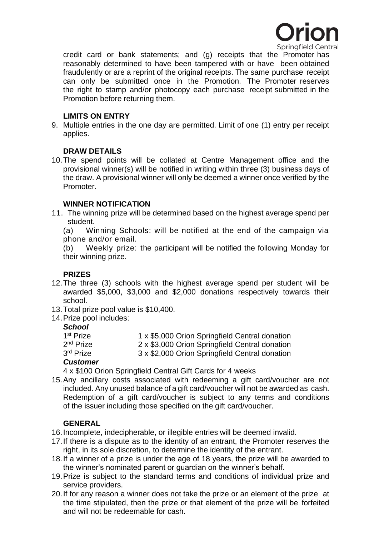

credit card or bank statements; and (g) receipts that the Promoter has reasonably determined to have been tampered with or have been obtained fraudulently or are a reprint of the original receipts. The same purchase receipt can only be submitted once in the Promotion. The Promoter reserves the right to stamp and/or photocopy each purchase receipt submitted in the Promotion before returning them.

### **LIMITS ON ENTRY**

9. Multiple entries in the one day are permitted. Limit of one (1) entry per receipt applies.

### **DRAW DETAILS**

10.The spend points will be collated at Centre Management office and the provisional winner(s) will be notified in writing within three (3) business days of the draw. A provisional winner will only be deemed a winner once verified by the Promoter.

### **WINNER NOTIFICATION**

11. The winning prize will be determined based on the highest average spend per student.

(a) Winning Schools: will be notified at the end of the campaign via phone and/or email.

(b) Weekly prize: the participant will be notified the following Monday for their winning prize.

## **PRIZES**

- 12.The three (3) schools with the highest average spend per student will be awarded \$5,000, \$3,000 and \$2,000 donations respectively towards their school.
- 13.Total prize pool value is \$10,400.
- 14.Prize pool includes:

#### *School*

| $C$ ustamar           |                                                |
|-----------------------|------------------------------------------------|
| 3 <sup>rd</sup> Prize | 3 x \$2,000 Orion Springfield Central donation |
| 2 <sup>nd</sup> Prize | 2 x \$3,000 Orion Springfield Central donation |
| 1 <sup>st</sup> Prize | 1 x \$5,000 Orion Springfield Central donation |
|                       |                                                |

#### *Customer*

4 x \$100 Orion Springfield Central Gift Cards for 4 weeks

15.Any ancillary costs associated with redeeming a gift card/voucher are not included. Any unused balance of a gift card/voucher will not be awarded as cash. Redemption of a gift card/voucher is subject to any terms and conditions of the issuer including those specified on the gift card/voucher.

## **GENERAL**

- 16.Incomplete, indecipherable, or illegible entries will be deemed invalid.
- 17.If there is a dispute as to the identity of an entrant, the Promoter reserves the right, in its sole discretion, to determine the identity of the entrant.
- 18.If a winner of a prize is under the age of 18 years, the prize will be awarded to the winner's nominated parent or guardian on the winner's behalf.
- 19.Prize is subject to the standard terms and conditions of individual prize and service providers.
- 20.If for any reason a winner does not take the prize or an element of the prize at the time stipulated, then the prize or that element of the prize will be forfeited and will not be redeemable for cash.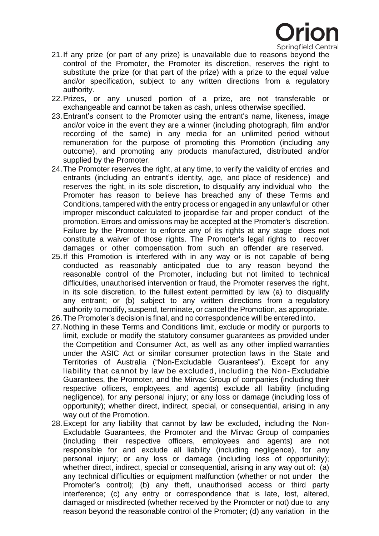

- 21.If any prize (or part of any prize) is unavailable due to reasons beyond the control of the Promoter, the Promoter its discretion, reserves the right to substitute the prize (or that part of the prize) with a prize to the equal value and/or specification, subject to any written directions from a regulatory authority.
- 22.Prizes, or any unused portion of a prize, are not transferable or exchangeable and cannot be taken as cash, unless otherwise specified.
- 23.Entrant's consent to the Promoter using the entrant's name, likeness, image and/or voice in the event they are a winner (including photograph, film and/or recording of the same) in any media for an unlimited period without remuneration for the purpose of promoting this Promotion (including any outcome), and promoting any products manufactured, distributed and/or supplied by the Promoter.
- 24.The Promoter reserves the right, at any time, to verify the validity of entries and entrants (including an entrant's identity, age, and place of residence) and reserves the right, in its sole discretion, to disqualify any individual who the Promoter has reason to believe has breached any of these Terms and Conditions, tampered with the entry process or engaged in any unlawful or other improper misconduct calculated to jeopardise fair and proper conduct of the promotion. Errors and omissions may be accepted at the Promoter's discretion. Failure by the Promoter to enforce any of its rights at any stage does not constitute a waiver of those rights. The Promoter's legal rights to recover damages or other compensation from such an offender are reserved.
- 25.If this Promotion is interfered with in any way or is not capable of being conducted as reasonably anticipated due to any reason beyond the reasonable control of the Promoter, including but not limited to technical difficulties, unauthorised intervention or fraud, the Promoter reserves the right, in its sole discretion, to the fullest extent permitted by law (a) to disqualify any entrant; or (b) subject to any written directions from a regulatory authority to modify, suspend, terminate, or cancel the Promotion, as appropriate.
- 26.The Promoter's decision is final, and no correspondence will be entered into.
- 27.Nothing in these Terms and Conditions limit, exclude or modify or purports to limit, exclude or modify the statutory consumer guarantees as provided under the Competition and Consumer Act, as well as any other implied warranties under the ASIC Act or similar consumer protection laws in the State and Territories of Australia ("Non-Excludable Guarantees"). Except for any liability that cannot by law be excluded, including the Non- Excludable Guarantees, the Promoter, and the Mirvac Group of companies (including their respective officers, employees, and agents) exclude all liability (including negligence), for any personal injury; or any loss or damage (including loss of opportunity); whether direct, indirect, special, or consequential, arising in any way out of the Promotion.
- 28.Except for any liability that cannot by law be excluded, including the Non-Excludable Guarantees, the Promoter and the Mirvac Group of companies (including their respective officers, employees and agents) are not responsible for and exclude all liability (including negligence), for any personal injury; or any loss or damage (including loss of opportunity); whether direct, indirect, special or consequential, arising in any way out of: (a) any technical difficulties or equipment malfunction (whether or not under the Promoter's control); (b) any theft, unauthorised access or third party interference; (c) any entry or correspondence that is late, lost, altered, damaged or misdirected (whether received by the Promoter or not) due to any reason beyond the reasonable control of the Promoter; (d) any variation in the